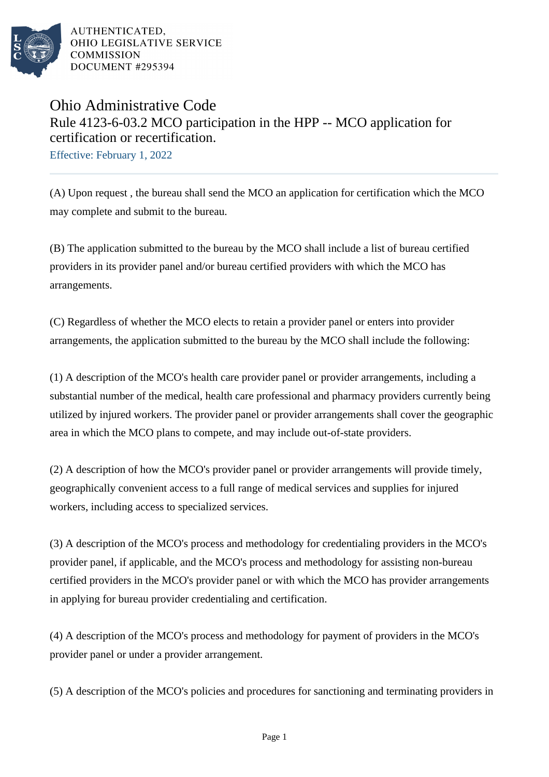

AUTHENTICATED, OHIO LEGISLATIVE SERVICE **COMMISSION** DOCUMENT #295394

## Ohio Administrative Code Rule 4123-6-03.2 MCO participation in the HPP -- MCO application for certification or recertification.

Effective: February 1, 2022

(A) Upon request , the bureau shall send the MCO an application for certification which the MCO may complete and submit to the bureau.

(B) The application submitted to the bureau by the MCO shall include a list of bureau certified providers in its provider panel and/or bureau certified providers with which the MCO has arrangements.

(C) Regardless of whether the MCO elects to retain a provider panel or enters into provider arrangements, the application submitted to the bureau by the MCO shall include the following:

(1) A description of the MCO's health care provider panel or provider arrangements, including a substantial number of the medical, health care professional and pharmacy providers currently being utilized by injured workers. The provider panel or provider arrangements shall cover the geographic area in which the MCO plans to compete, and may include out-of-state providers.

(2) A description of how the MCO's provider panel or provider arrangements will provide timely, geographically convenient access to a full range of medical services and supplies for injured workers, including access to specialized services.

(3) A description of the MCO's process and methodology for credentialing providers in the MCO's provider panel, if applicable, and the MCO's process and methodology for assisting non-bureau certified providers in the MCO's provider panel or with which the MCO has provider arrangements in applying for bureau provider credentialing and certification.

(4) A description of the MCO's process and methodology for payment of providers in the MCO's provider panel or under a provider arrangement.

(5) A description of the MCO's policies and procedures for sanctioning and terminating providers in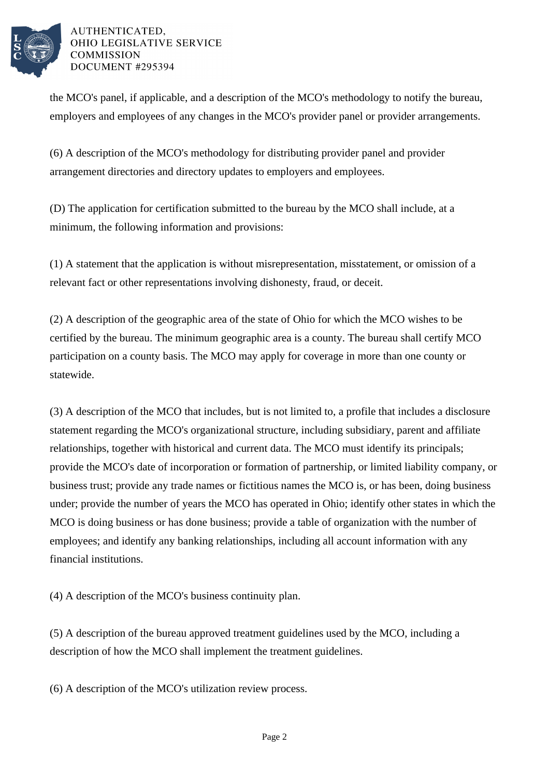

## AUTHENTICATED. OHIO LEGISLATIVE SERVICE **COMMISSION** DOCUMENT #295394

the MCO's panel, if applicable, and a description of the MCO's methodology to notify the bureau, employers and employees of any changes in the MCO's provider panel or provider arrangements.

(6) A description of the MCO's methodology for distributing provider panel and provider arrangement directories and directory updates to employers and employees.

(D) The application for certification submitted to the bureau by the MCO shall include, at a minimum, the following information and provisions:

(1) A statement that the application is without misrepresentation, misstatement, or omission of a relevant fact or other representations involving dishonesty, fraud, or deceit.

(2) A description of the geographic area of the state of Ohio for which the MCO wishes to be certified by the bureau. The minimum geographic area is a county. The bureau shall certify MCO participation on a county basis. The MCO may apply for coverage in more than one county or statewide.

(3) A description of the MCO that includes, but is not limited to, a profile that includes a disclosure statement regarding the MCO's organizational structure, including subsidiary, parent and affiliate relationships, together with historical and current data. The MCO must identify its principals; provide the MCO's date of incorporation or formation of partnership, or limited liability company, or business trust; provide any trade names or fictitious names the MCO is, or has been, doing business under; provide the number of years the MCO has operated in Ohio; identify other states in which the MCO is doing business or has done business; provide a table of organization with the number of employees; and identify any banking relationships, including all account information with any financial institutions.

(4) A description of the MCO's business continuity plan.

(5) A description of the bureau approved treatment guidelines used by the MCO, including a description of how the MCO shall implement the treatment guidelines.

(6) A description of the MCO's utilization review process.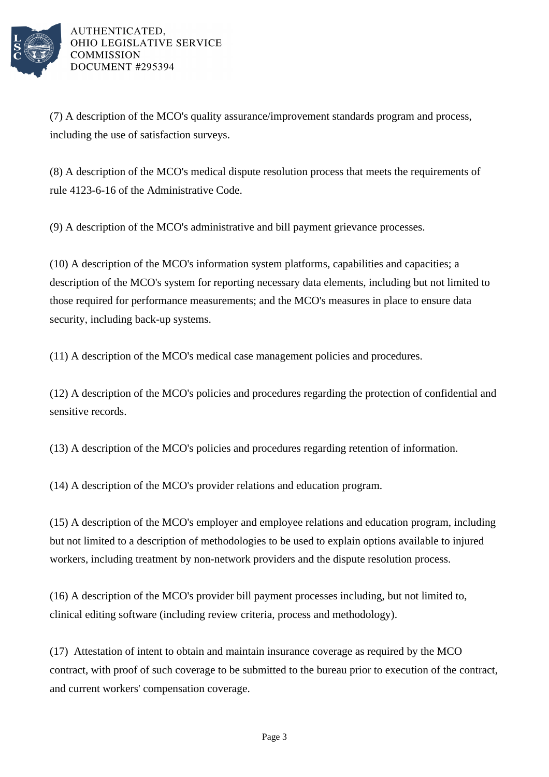

AUTHENTICATED. OHIO LEGISLATIVE SERVICE **COMMISSION** DOCUMENT #295394

(7) A description of the MCO's quality assurance/improvement standards program and process, including the use of satisfaction surveys.

(8) A description of the MCO's medical dispute resolution process that meets the requirements of rule 4123-6-16 of the Administrative Code.

(9) A description of the MCO's administrative and bill payment grievance processes.

(10) A description of the MCO's information system platforms, capabilities and capacities; a description of the MCO's system for reporting necessary data elements, including but not limited to those required for performance measurements; and the MCO's measures in place to ensure data security, including back-up systems.

(11) A description of the MCO's medical case management policies and procedures.

(12) A description of the MCO's policies and procedures regarding the protection of confidential and sensitive records.

(13) A description of the MCO's policies and procedures regarding retention of information.

(14) A description of the MCO's provider relations and education program.

(15) A description of the MCO's employer and employee relations and education program, including but not limited to a description of methodologies to be used to explain options available to injured workers, including treatment by non-network providers and the dispute resolution process.

(16) A description of the MCO's provider bill payment processes including, but not limited to, clinical editing software (including review criteria, process and methodology).

(17) Attestation of intent to obtain and maintain insurance coverage as required by the MCO contract, with proof of such coverage to be submitted to the bureau prior to execution of the contract, and current workers' compensation coverage.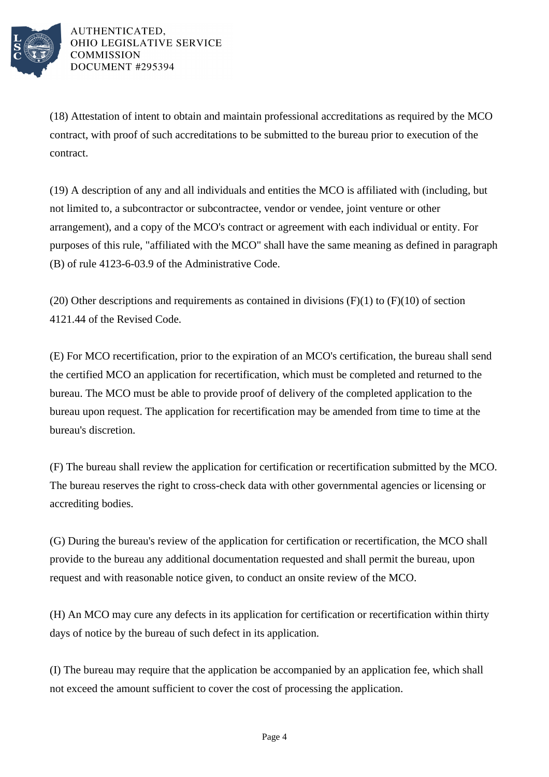

AUTHENTICATED. OHIO LEGISLATIVE SERVICE **COMMISSION** DOCUMENT #295394

(18) Attestation of intent to obtain and maintain professional accreditations as required by the MCO contract, with proof of such accreditations to be submitted to the bureau prior to execution of the contract.

(19) A description of any and all individuals and entities the MCO is affiliated with (including, but not limited to, a subcontractor or subcontractee, vendor or vendee, joint venture or other arrangement), and a copy of the MCO's contract or agreement with each individual or entity. For purposes of this rule, "affiliated with the MCO" shall have the same meaning as defined in paragraph (B) of rule 4123-6-03.9 of the Administrative Code.

(20) Other descriptions and requirements as contained in divisions  $(F)(1)$  to  $(F)(10)$  of section 4121.44 of the Revised Code.

(E) For MCO recertification, prior to the expiration of an MCO's certification, the bureau shall send the certified MCO an application for recertification, which must be completed and returned to the bureau. The MCO must be able to provide proof of delivery of the completed application to the bureau upon request. The application for recertification may be amended from time to time at the bureau's discretion.

(F) The bureau shall review the application for certification or recertification submitted by the MCO. The bureau reserves the right to cross-check data with other governmental agencies or licensing or accrediting bodies.

(G) During the bureau's review of the application for certification or recertification, the MCO shall provide to the bureau any additional documentation requested and shall permit the bureau, upon request and with reasonable notice given, to conduct an onsite review of the MCO.

(H) An MCO may cure any defects in its application for certification or recertification within thirty days of notice by the bureau of such defect in its application.

(I) The bureau may require that the application be accompanied by an application fee, which shall not exceed the amount sufficient to cover the cost of processing the application.